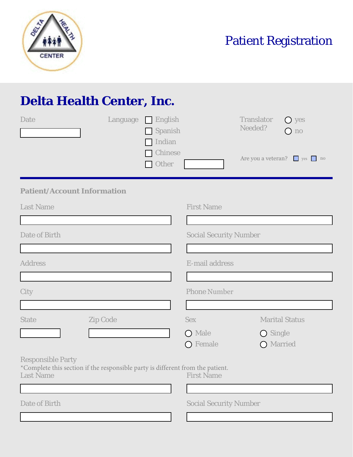

Patient Registration

## **Delta Health Center, Inc.**

| Date                                                                                                                           | Language | $\Box$ English<br>Spanish<br>$\Box$ Indian<br>Chinese<br>Other |                               | Translator<br>Needed? | $\bigcirc$ yes<br>$\bigcirc$ no<br>Are you a veteran? ves no |
|--------------------------------------------------------------------------------------------------------------------------------|----------|----------------------------------------------------------------|-------------------------------|-----------------------|--------------------------------------------------------------|
| <b>Patient/Account Information</b>                                                                                             |          |                                                                |                               |                       |                                                              |
| <b>Last Name</b>                                                                                                               |          |                                                                | <b>First Name</b>             |                       |                                                              |
|                                                                                                                                |          |                                                                |                               |                       |                                                              |
| Date of Birth                                                                                                                  |          | <b>Social Security Number</b>                                  |                               |                       |                                                              |
|                                                                                                                                |          |                                                                |                               |                       |                                                              |
| <b>Address</b>                                                                                                                 |          |                                                                | E-mail address                |                       |                                                              |
|                                                                                                                                |          |                                                                |                               |                       |                                                              |
| City                                                                                                                           |          |                                                                | <b>Phone Number</b>           |                       |                                                              |
|                                                                                                                                |          |                                                                |                               |                       |                                                              |
| <b>State</b><br><b>Zip Code</b>                                                                                                |          |                                                                | <b>Sex</b>                    |                       | <b>Marital Status</b>                                        |
| $\mathbf{r}$                                                                                                                   |          |                                                                | O Male                        | $\bigcirc$ Single     |                                                              |
|                                                                                                                                |          |                                                                | O Female                      | O Married             |                                                              |
| <b>Responsible Party</b><br>*Complete this section if the responsible party is different from the patient.<br><b>Last Name</b> |          |                                                                | <b>First Name</b>             |                       |                                                              |
| Date of Birth                                                                                                                  |          |                                                                | <b>Social Security Number</b> |                       |                                                              |
|                                                                                                                                |          |                                                                |                               |                       |                                                              |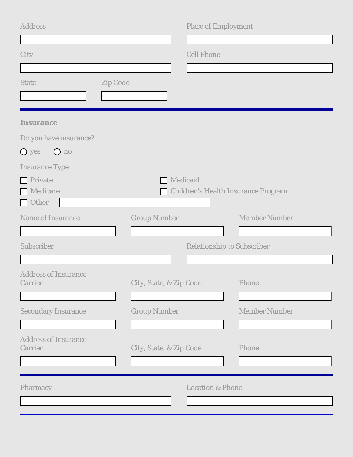| <b>Address</b>                         |                         | <b>Place of Employment</b>        |                                            |
|----------------------------------------|-------------------------|-----------------------------------|--------------------------------------------|
|                                        |                         |                                   |                                            |
| City                                   |                         | <b>Cell Phone</b>                 |                                            |
|                                        |                         |                                   |                                            |
| Zip Code<br><b>State</b>               |                         |                                   |                                            |
|                                        |                         |                                   |                                            |
| <b>Insurance</b>                       |                         |                                   |                                            |
| Do you have insurance?                 |                         |                                   |                                            |
| O yes<br>$O$ no                        |                         |                                   |                                            |
| <b>Insurance Type</b>                  |                         |                                   |                                            |
| <b>Private</b>                         | Medicaid                |                                   |                                            |
| Medicare                               |                         |                                   | <b>Children's Health Insurance Program</b> |
| Other                                  |                         |                                   |                                            |
| <b>Name of Insurance</b>               | <b>Group Number</b>     |                                   | <b>Member Number</b>                       |
|                                        |                         |                                   |                                            |
| Subscriber                             |                         | <b>Relationship to Subscriber</b> |                                            |
|                                        |                         |                                   |                                            |
| <b>Address of Insurance</b><br>Carrier | City, State, & Zip Code |                                   | Phone                                      |
|                                        |                         |                                   |                                            |
| <b>Secondary Insurance</b>             | <b>Group Number</b>     |                                   | <b>Member Number</b>                       |
|                                        |                         |                                   |                                            |
| <b>Address of Insurance</b>            |                         |                                   |                                            |
| Carrier                                | City, State, & Zip Code |                                   | Phone                                      |
|                                        |                         |                                   |                                            |
|                                        |                         |                                   |                                            |
| Pharmacy                               |                         | <b>Location &amp; Phone</b>       |                                            |
|                                        |                         |                                   |                                            |
|                                        |                         |                                   |                                            |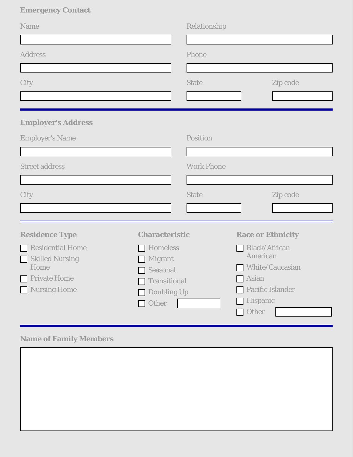## **Emergency Contact**

| <b>Name</b>               |                            | Relationship      |                                  |                  |
|---------------------------|----------------------------|-------------------|----------------------------------|------------------|
| <b>Address</b>            |                            | Phone             |                                  |                  |
|                           |                            |                   |                                  |                  |
| City                      |                            | <b>State</b>      |                                  | Zip code         |
|                           |                            |                   |                                  |                  |
| <b>Employer's Address</b> |                            |                   |                                  |                  |
| <b>Employer's Name</b>    |                            | Position          |                                  |                  |
|                           |                            |                   |                                  |                  |
| <b>Street address</b>     |                            | <b>Work Phone</b> |                                  |                  |
|                           |                            |                   |                                  |                  |
| City                      |                            | <b>State</b>      |                                  | Zip code         |
|                           |                            |                   | $\vert \mathbf{v} \vert$         |                  |
| <b>Residence Type</b>     | <b>Characteristic</b>      |                   | <b>Race or Ethnicity</b>         |                  |
| Residential Home          | Homeless<br>$\blacksquare$ |                   | <b>Black/African</b><br>American |                  |
| Skilled Nursing<br>Home   | Migrant<br>Seasonal        |                   | <b>White/Caucasian</b>           |                  |
| Private Home              | <b>Transitional</b>        |                   | Asian                            |                  |
| Nursing Home              | Doubling Up                |                   |                                  | Pacific Islander |
|                           | Other<br>$\Box$            |                   | Hispanic<br>Other                |                  |

## **Name of Family Members**